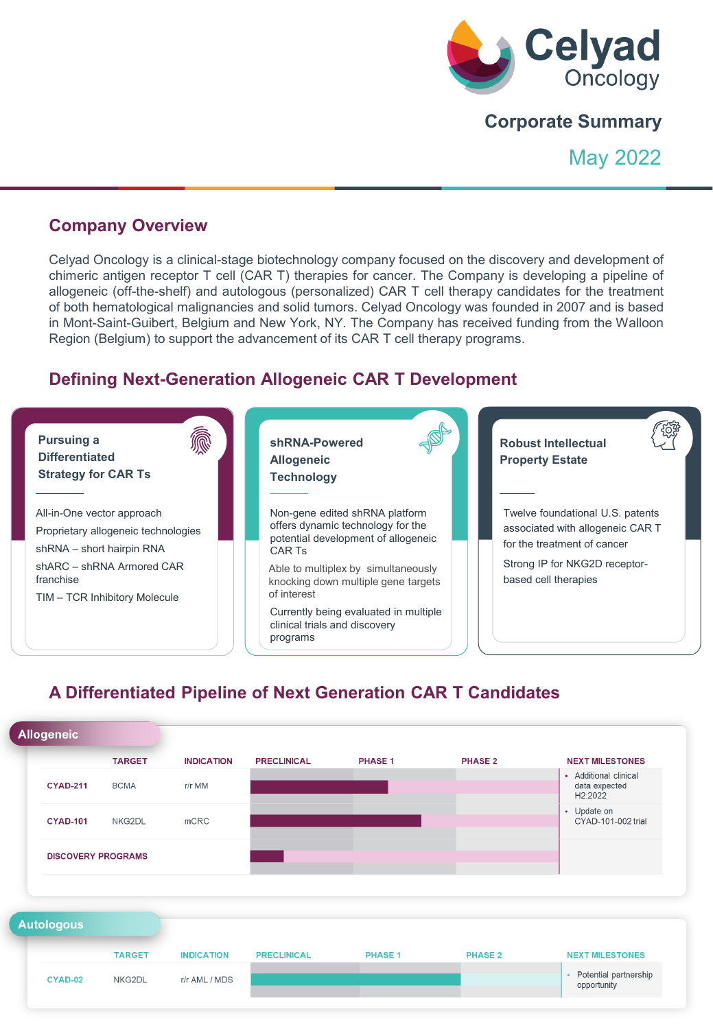

# **Corporate Summary**

May 2022

### **Company Overview**

Celyad Oncology is a clinical-stage biotechnology company focused on the discovery and development of chimeric antigen receptor T cell (CAR T) therapies for cancer. The Company is developing a pipeline of allogeneic (off-the-shelf) and autologous (personalized) CAR T cell therapy candidates for the treatment of both hematological malignancies and solid tumors. Celyad Oncology was founded in 2007 and is based in Mont-Saint-Guibert, Belgium and New York, NY. The Company has received funding from the Walloon Region (Belgium) to support the advancement of its CAR T cell therapy programs.

# **Defining Next-Generation Allogeneic CAR T Development**



# **A Differentiated Pipeline of Next Generation CAR T Candidates**